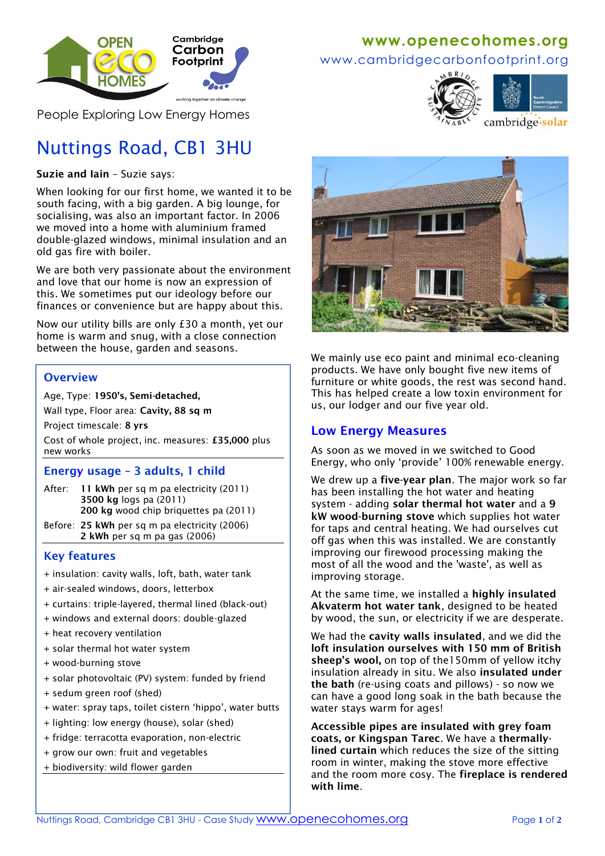

People Exploring Low Energy Homes

# Nuttings Road, CB1 3HU

#### **Suzie and Iain** – Suzie says:

When looking for our first home, we wanted it to be south facing, with a big garden. A big lounge, for socialising, was also an important factor. In 2006 we moved into a home with aluminium framed double-glazed windows, minimal insulation and an old gas fire with boiler.

We are both very passionate about the environment and love that our home is now an expression of this. We sometimes put our ideology before our finances or convenience but are happy about this.

Now our utility bills are only £30 a month, yet our home is warm and snug, with a close connection between the house, garden and seasons.

### **Overview**

Age, Type: **1950's, Semi-detached,**

Wall type, Floor area: **Cavity, 88 sq m** 

Project timescale: **8 yrs**

Cost of whole project, inc. measures: **£35,000** plus new works

#### **Energy usage – 3 adults, 1 child**

- After: **11 kWh** per sq m pa electricity (2011) **3500 kg** logs pa (2011) **200 kg** wood chip briquettes pa (2011)
- Before: **25 kWh** per sq m pa electricity (2006)  **2 kWh** per sq m pa gas (2006)

### **Key features**

+ insulation: cavity walls, loft, bath, water tank

- + air-sealed windows, doors, letterbox
- + curtains: triple-layered, thermal lined (black-out)
- + windows and external doors: double-glazed
- + heat recovery ventilation
- + solar thermal hot water system
- + wood-burning stove
- + solar photovoltaic (PV) system: funded by friend
- + sedum green roof (shed)
- + water: spray taps, toilet cistern 'hippo', water butts
- + lighting: low energy (house), solar (shed)
- + fridge: terracotta evaporation, non-electric
- + grow our own: fruit and vegetables
- + biodiversity: wild flower garden

## **www[.openecohomes.org](http://www.openecohomes.org/)**

www.cambridgecarbonfootprint.org





cambridge-solar



We mainly use eco paint and minimal eco-cleaning products. We have only bought five new items of furniture or white goods, the rest was second hand. This has helped create a low toxin environment for us, our lodger and our five year old.

### **Low Energy Measures**

As soon as we moved in we switched to Good Energy, who only 'provide' 100% renewable energy.

We drew up a **five-year plan**. The major work so far has been installing the hot water and heating system - adding **solar thermal hot water** and a **9 kW wood-burning stove** which supplies hot water for taps and central heating. We had ourselves cut off gas when this was installed. We are constantly improving our firewood processing making the most of all the wood and the 'waste', as well as improving storage.

At the same time, we installed a **highly insulated Akvaterm hot water tank**, designed to be heated by wood, the sun, or electricity if we are desperate.

We had the **cavity walls insulated**, and we did the **loft insulation ourselves with 150 mm of British sheep's wool,** on top of the150mm of yellow itchy insulation already in situ. We also **insulated under the bath** (re-using coats and pillows) - so now we can have a good long soak in the bath because the water stays warm for ages!

**Accessible pipes are insulated with grey foam coats, or Kingspan Tarec**. We have a **thermallylined curtain** which reduces the size of the sitting room in winter, making the stove more effective and the room more cosy. The **fireplace is rendered with lime**.